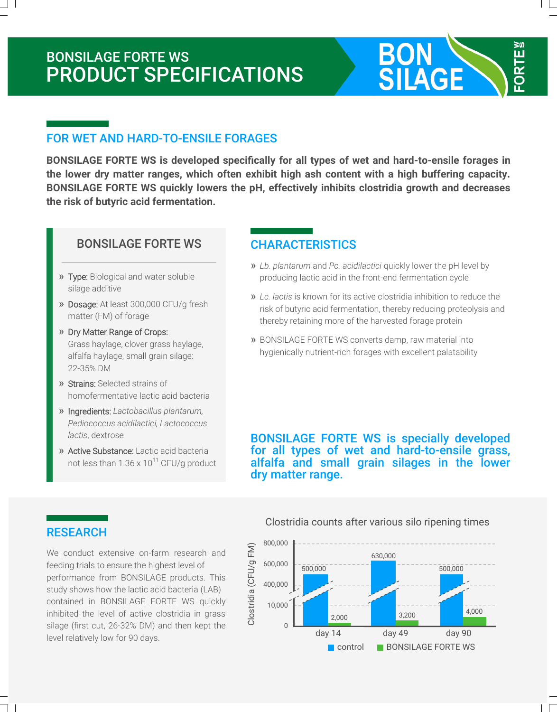# BONSILAGE FORTE WS PRODUCT SPECIFICATIONS

### FOR WET AND HARD-TO-ENSILE FORAGES

**BONSILAGE FORTE WS is developed specifically for all types of wet and hard-to-ensile forages in the lower dry matter ranges, which often exhibit high ash content with a high buffering capacity. BONSILAGE FORTE WS quickly lowers the pH, effectively inhibits clostridia growth and decreases the risk of butyric acid fermentation.**

#### BONSILAGE FORTE WS

- » Type: Biological and water soluble silage additive
- » Dosage: At least 300,000 CFU/g fresh matter (FM) of forage
- » Dry Matter Range of Crops: Grass haylage, clover grass haylage, alfalfa haylage, small grain silage: 22-35% DM
- » Strains: Selected strains of homofermentative lactic acid bacteria
- » Ingredients: *Lactobacillus plantarum, Pediococcus acidilactici, Lactococcus lactis*, dextrose
- » Active Substance: Lactic acid bacteria not less than  $1.36 \times 10^{11}$  CFU/g product

### **CHARACTERISTICS**

» *Lb. plantarum* and *Pc. acidilactici* quickly lower the pH level by producing lactic acid in the front-end fermentation cycle

**BON SILAGE** 

**ORTE!** 

- » *Lc. lactis* is known for its active clostridia inhibition to reduce the risk of butyric acid fermentation, thereby reducing proteolysis and thereby retaining more of the harvested forage protein
- » BONSILAGE FORTE WS converts damp, raw material into hygienically nutrient-rich forages with excellent palatability

BONSILAGE FORTE WS is specially developed for all types of wet and hard-to-ensile grass, alfalfa and small grain silages in the lower dry matter range.

#### **RESEARCH**

We conduct extensive on-farm research and feeding trials to ensure the highest level of performance from BONSILAGE products. This study shows how the lactic acid bacteria (LAB) contained in BONSILAGE FORTE WS quickly inhibited the level of active clostridia in grass silage (first cut, 26-32% DM) and then kept the level relatively low for 90 days.

Clostridia counts after various silo ripening times